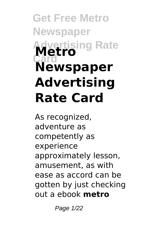# **Get Free Metro Newspaper Advertising Rate Card Metro Newspaper Advertising Rate Card**

As recognized, adventure as competently as experience approximately lesson, amusement, as with ease as accord can be gotten by just checking out a ebook **metro**

Page 1/22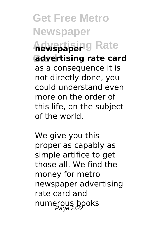**Get Free Metro Newspaper Advertising Rate newspaper Card advertising rate card** as a consequence it is not directly done, you could understand even more on the order of this life, on the subject of the world.

We give you this proper as capably as simple artifice to get those all. We find the money for metro newspaper advertising rate card and numerous books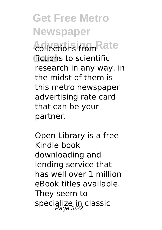**Get Free Metro Newspaper Advertising Rate** collections from fictions to scientific research in any way. in the midst of them is this metro newspaper advertising rate card that can be your partner.

Open Library is a free Kindle book downloading and lending service that has well over 1 million eBook titles available. They seem to specialize in classic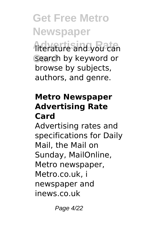**Get Free Metro Newspaper Advertising Rate** literature and you can **Card** search by keyword or browse by subjects, authors, and genre.

#### **Metro Newspaper Advertising Rate Card**

Advertising rates and specifications for Daily Mail, the Mail on Sunday, MailOnline, Metro newspaper, Metro.co.uk, i newspaper and inews.co.uk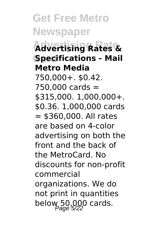**Get Free Metro Newspaper Advertising Rate Advertising Rates & Card Specifications - Mail Metro Media** 750,000+. \$0.42.  $750.000 \text{ cards} =$ \$315,000. 1,000,000+. \$0.36. 1,000,000 cards  $=$  \$360,000. All rates are based on 4-color advertising on both the front and the back of the MetroCard. No discounts for non-profit commercial organizations. We do not print in quantities below 50,000 cards.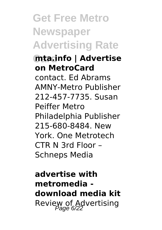# **Get Free Metro Newspaper Advertising Rate**

#### **Card mta.info | Advertise on MetroCard**

contact. Ed Abrams AMNY-Metro Publisher 212-457-7735. Susan Peiffer Metro Philadelphia Publisher 215-680-8484. New York. One Metrotech CTR N 3rd Floor – Schneps Media

**advertise with metromedia download media kit** Review of Advertising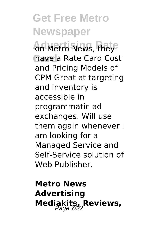**Get Free Metro Newspaper** on Metro News, they have a Rate Card Cost and Pricing Models of CPM Great at targeting and inventory is accessible in programmatic ad exchanges. Will use them again whenever I am looking for a Managed Service and Self-Service solution of Web Publisher.

**Metro News Advertising Mediakits, Reviews,**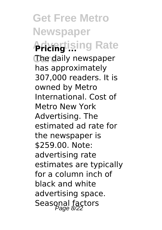**Get Free Metro Newspaper Advagtising Rate** The daily newspaper has approximately 307,000 readers. It is owned by Metro International. Cost of Metro New York Advertising. The estimated ad rate for the newspaper is \$259.00. Note: advertising rate estimates are typically for a column inch of black and white advertising space. Seasonal factors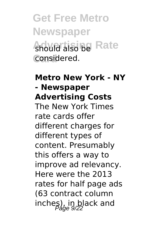### **Get Free Metro Newspaper Anould also be Rate Card** considered.

#### **Metro New York - NY - Newspaper Advertising Costs**

The New York Times rate cards offer different charges for different types of content. Presumably this offers a way to improve ad relevancy. Here were the 2013 rates for half page ads (63 contract column inches), in black and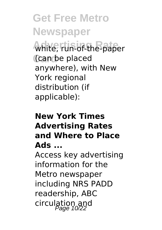**Get Free Metro Newspaper Advertising Rate** white, run-of-the-paper **Card** (can be placed anywhere), with New York regional distribution (if applicable):

#### **New York Times Advertising Rates and Where to Place Ads ...**

Access key advertising information for the Metro newspaper including NRS PADD readership, ABC circulation and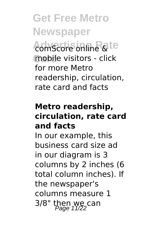**Get Free Metro Newspaper Advertising Rate** comScore online & mobile visitors - click for more Metro readership, circulation, rate card and facts

#### **Metro readership, circulation, rate card and facts**

In our example, this business card size ad in our diagram is 3 columns by 2 inches (6 total column inches). If the newspaper's columns measure 1  $3/8$ " then we can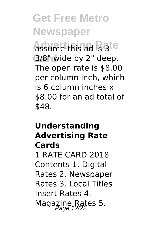**Get Free Metro Newspaper Advertising Rate** assume this ad is 3 **Card** 3/8" wide by 2" deep. The open rate is \$8.00 per column inch, which is 6 column inches x \$8.00 for an ad total of \$48.

# **Understanding Advertising Rate Cards** 1 RATE CARD 2018 Contents 1. Digital

Rates 2. Newspaper Rates 3. Local Titles Insert Rates 4. Magazine Rates 5.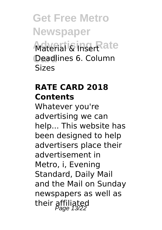**Get Free Metro Newspaper Material & Insert ate Card** Deadlines 6. Column Sizes

#### **RATE CARD 2018 Contents**

Whatever you're advertising we can help... This website has been designed to help advertisers place their advertisement in Metro, i, Evening Standard, Daily Mail and the Mail on Sunday newspapers as well as their affiliated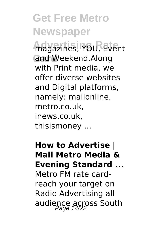**Get Free Metro Newspaper Advertising Rate** magazines, YOU, Event **Card** and Weekend.Along with Print media, we offer diverse websites and Digital platforms, namely: mailonline, metro.co.uk, inews.co.uk, thisismoney ...

**How to Advertise | Mail Metro Media & Evening Standard ...** Metro FM rate cardreach your target on Radio Advertising all audience across South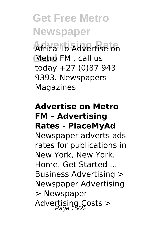**Get Free Metro Newspaper** Africa To Advertise on **Card** Metro FM , call us today +27 (0)87 943 9393. Newspapers **Magazines** 

#### **Advertise on Metro FM – Advertising Rates - PlaceMyAd**

Newspaper adverts ads rates for publications in New York, New York. Home. Get Started ... Business Advertising > Newspaper Advertising > Newspaper Advertising Costs >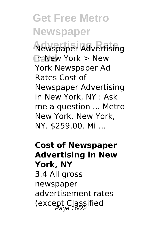**Get Free Metro Newspaper Advertising Rate** Newspaper Advertising **Card** in New York > New York Newspaper Ad Rates Cost of Newspaper Advertising in New York, NY : Ask me a question ... Metro New York. New York, NY. \$259.00. Mi ...

**Cost of Newspaper Advertising in New York, NY** 3.4 All gross newspaper advertisement rates (except Classified  $P_{\text{a}ae}$  16/22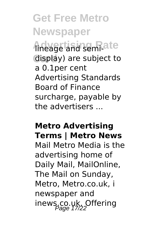**Get Free Metro Newspaper Advertising Rate** lineage and semi-**Card** display) are subject to a 0.1per cent Advertising Standards Board of Finance surcharge, payable by the advertisers ...

#### **Metro Advertising Terms | Metro News**

Mail Metro Media is the advertising home of Daily Mail, MailOnline, The Mail on Sunday, Metro, Metro.co.uk, i newspaper and inews.co.uk. Offering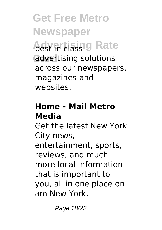**Get Free Metro Newspaper Advertising Rate Card** advertising solutions across our newspapers, magazines and websites.

#### **Home - Mail Metro Media**

Get the latest New York City news, entertainment, sports, reviews, and much more local information that is important to you, all in one place on am New York.

Page 18/22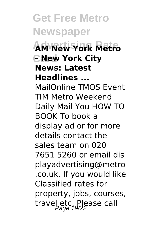**Get Free Metro Newspaper Advertising Rate AM New York Metro Card - New York City News: Latest Headlines ...** MailOnline TMOS Event TIM Metro Weekend Daily Mail You HOW TO BOOK To book a display ad or for more details contact the sales team on 020 7651 5260 or email dis playadvertising@metro .co.uk. If you would like Classified rates for property, jobs, courses, travel etc. Please call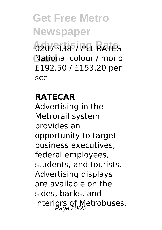### **Get Free Metro Newspaper Advertising Rate** 0207 938 7751 RATES **Card** National colour / mono £192.50 / £153.20 per scc

#### **RATECAR**

Advertising in the Metrorail system provides an opportunity to target business executives, federal employees, students, and tourists. Advertising displays are available on the sides, backs, and interiors of Metrobuses.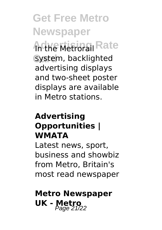**Get Free Metro Newspaper Anthe Metrorail Rate** system, backlighted advertising displays and two-sheet poster displays are available in Metro stations.

#### **Advertising Opportunities | WMATA**

Latest news, sport, business and showbiz from Metro, Britain's most read newspaper

### **Metro Newspaper UK - Metro**<br>Page 21/22